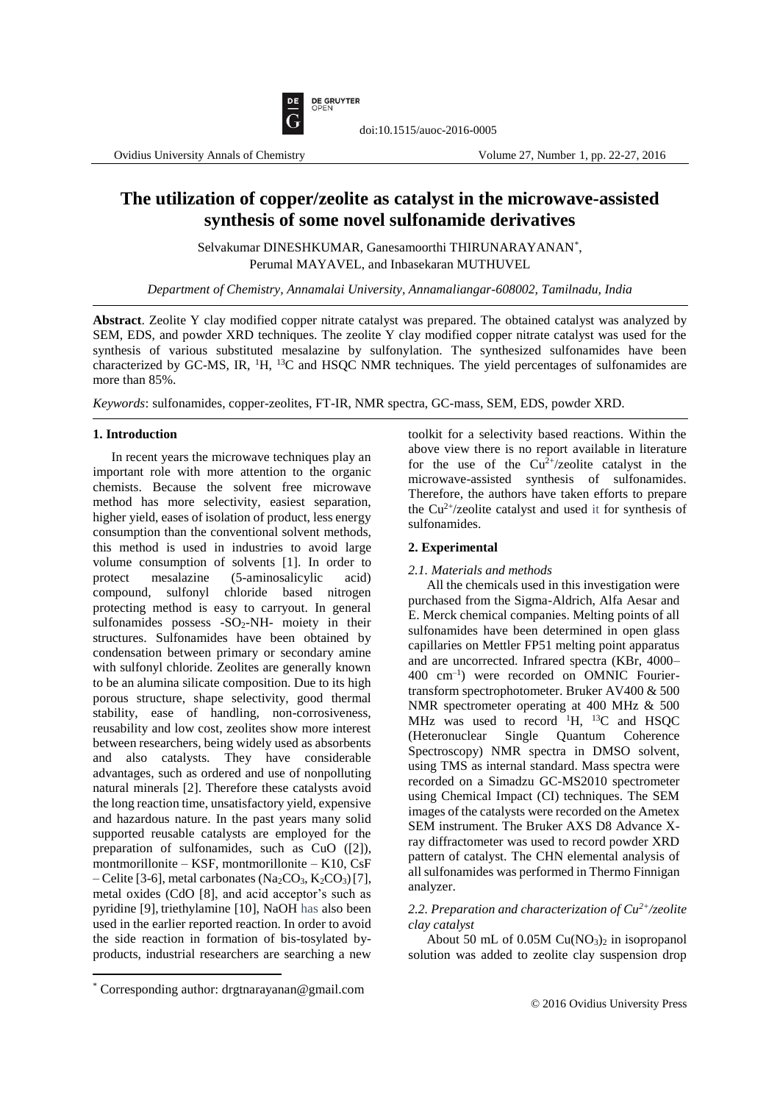

# **The utilization of copper/zeolite as catalyst in the microwave-assisted synthesis of some novel sulfonamide derivatives**

doi:10.1515/auoc-2016-0005

Selvakumar DINESHKUMAR, Ganesamoorthi THIRUNARAYANAN\* , Perumal MAYAVEL, and Inbasekaran MUTHUVEL

*Department of Chemistry, Annamalai University, Annamaliangar-608002, Tamilnadu, India*

**Abstract**. Zeolite Y clay modified copper nitrate catalyst was prepared. The obtained catalyst was analyzed by SEM, EDS, and powder XRD techniques. The zeolite Y clay modified copper nitrate catalyst was used for the synthesis of various substituted mesalazine by sulfonylation. The synthesized sulfonamides have been characterized by GC-MS, IR, <sup>1</sup>H, <sup>13</sup>C and HSQC NMR techniques. The yield percentages of sulfonamides are more than 85%.

*Keywords*: sulfonamides, copper-zeolites, FT-IR, NMR spectra, GC-mass, SEM, EDS, powder XRD.

### **1. Introduction**

In recent years the microwave techniques play an important role with more attention to the organic chemists. Because the solvent free microwave method has more selectivity, easiest separation, higher yield, eases of isolation of product, less energy consumption than the conventional solvent methods, this method is used in industries to avoid large volume consumption of solvents [1]. In order to protect mesalazine (5-aminosalicylic acid) compound, sulfonyl chloride based nitrogen protecting method is easy to carryout. In general sulfonamides possess -SO2-NH- moiety in their structures. Sulfonamides have been obtained by condensation between primary or secondary amine with sulfonyl chloride. Zeolites are generally known to be an alumina silicate composition. Due to its high porous structure, shape selectivity, good thermal stability, ease of handling, non-corrosiveness, reusability and low cost, zeolites show more interest between researchers, being widely used as absorbents and also catalysts. They have considerable advantages, such as ordered and use of nonpolluting natural minerals [2]. Therefore these catalysts avoid the long reaction time, unsatisfactory yield, expensive and hazardous nature. In the past years many solid supported reusable catalysts are employed for the preparation of sulfonamides, such as CuO ([2]), montmorillonite – KSF, montmorillonite – K10, CsF – Celite [3-6], metal carbonates (Na<sub>2</sub>CO<sub>3</sub>, K<sub>2</sub>CO<sub>3</sub>)[7], metal oxides (CdO [8], and acid acceptor's such as pyridine [9], triethylamine [10], NaOH has also been used in the earlier reported reaction. In order to avoid the side reaction in formation of bis-tosylated byproducts, industrial researchers are searching a new toolkit for a selectivity based reactions. Within the above view there is no report available in literature for the use of the  $Cu^{2+}/zeolite$  catalyst in the microwave-assisted synthesis of sulfonamides. Therefore, the authors have taken efforts to prepare the  $Cu^{2+}/$ zeolite catalyst and used it for synthesis of sulfonamides.

#### **2. Experimental**

### *2.1. Materials and methods*

All the chemicals used in this investigation were purchased from the Sigma-Aldrich, Alfa Aesar and E. Merck chemical companies. Melting points of all sulfonamides have been determined in open glass capillaries on Mettler FP51 melting point apparatus and are uncorrected. Infrared spectra (KBr, 4000– 400 cm–1 ) were recorded on OMNIC Fouriertransform spectrophotometer. Bruker AV400 & 500 NMR spectrometer operating at 400 MHz & 500 MHz was used to record  ${}^{1}H$ ,  ${}^{13}C$  and HSQC (Heteronuclear Single Quantum Coherence Spectroscopy) NMR spectra in DMSO solvent, using TMS as internal standard. Mass spectra were recorded on a Simadzu GC-MS2010 spectrometer using Chemical Impact (CI) techniques. The SEM images of the catalysts were recorded on the Ametex SEM instrument. The Bruker AXS D8 Advance Xray diffractometer was used to record powder XRD pattern of catalyst. The CHN elemental analysis of all sulfonamides was performed in Thermo Finnigan analyzer.

*2.2. Preparation and characterization of Cu2+/zeolite clay catalyst*

About 50 mL of  $0.05M$  Cu(NO<sub>3</sub>)<sub>2</sub> in isopropanol solution was added to zeolite clay suspension drop

 $\overline{a}$ 

<sup>\*</sup> Corresponding author: drgtnarayanan@gmail.com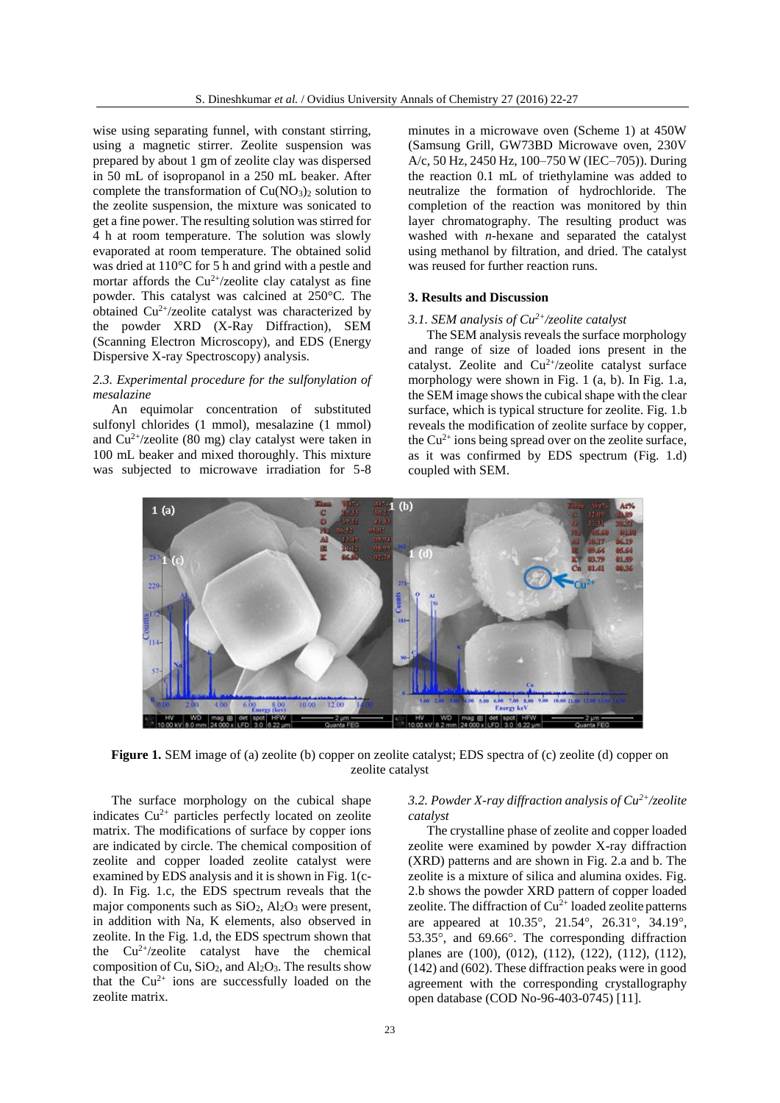wise using separating funnel, with constant stirring, using a magnetic stirrer. Zeolite suspension was prepared by about 1 gm of zeolite clay was dispersed in 50 mL of isopropanol in a 250 mL beaker. After complete the transformation of  $Cu(NO<sub>3</sub>)<sub>2</sub>$  solution to the zeolite suspension, the mixture was sonicated to get a fine power. The resulting solution was stirred for 4 h at room temperature. The solution was slowly evaporated at room temperature. The obtained solid was dried at 110°C for 5 h and grind with a pestle and mortar affords the  $Cu^{2+}/$ zeolite clay catalyst as fine powder. This catalyst was calcined at 250°C. The obtained  $Cu^{2+}/$ zeolite catalyst was characterized by the powder XRD (X-Ray Diffraction), SEM (Scanning Electron Microscopy), and EDS (Energy Dispersive X-ray Spectroscopy) analysis.

# *2.3. Experimental procedure for the sulfonylation of mesalazine*

An equimolar concentration of substituted sulfonyl chlorides (1 mmol), mesalazine (1 mmol) and  $Cu^{2+}/$ zeolite (80 mg) clay catalyst were taken in 100 mL beaker and mixed thoroughly. This mixture was subjected to microwave irradiation for 5-8 minutes in a microwave oven (Scheme 1) at 450W (Samsung Grill, GW73BD Microwave oven, 230V A/c, 50 Hz, 2450 Hz, 100–750 W (IEC–705)). During the reaction 0.1 mL of triethylamine was added to neutralize the formation of hydrochloride. The completion of the reaction was monitored by thin layer chromatography. The resulting product was washed with *n*-hexane and separated the catalyst using methanol by filtration, and dried. The catalyst was reused for further reaction runs.

#### **3. Results and Discussion**

#### *3.1. SEM analysis of Cu2+/zeolite catalyst*

The SEM analysis reveals the surface morphology and range of size of loaded ions present in the catalyst. Zeolite and Cu<sup>2+</sup>/zeolite catalyst surface morphology were shown in Fig. 1 (a, b). In Fig. 1.a, the SEM image shows the cubical shape with the clear surface, which is typical structure for zeolite. Fig. 1.b reveals the modification of zeolite surface by copper, the  $Cu^{2+}$  ions being spread over on the zeolite surface, as it was confirmed by EDS spectrum (Fig. 1.d) coupled with SEM.



**Figure 1.** SEM image of (a) zeolite (b) copper on zeolite catalyst; EDS spectra of (c) zeolite (d) copper on zeolite catalyst

The surface morphology on the cubical shape indicates Cu<sup>2+</sup> particles perfectly located on zeolite matrix. The modifications of surface by copper ions are indicated by circle. The chemical composition of zeolite and copper loaded zeolite catalyst were examined by EDS analysis and it is shown in Fig. 1(cd). In Fig. 1.c, the EDS spectrum reveals that the major components such as  $SiO<sub>2</sub>$ ,  $Al<sub>2</sub>O<sub>3</sub>$  were present, in addition with Na, K elements, also observed in zeolite. In the Fig. 1.d, the EDS spectrum shown that the  $Cu^{2+}/$ zeolite catalyst have the chemical composition of Cu,  $SiO<sub>2</sub>$ , and  $Al<sub>2</sub>O<sub>3</sub>$ . The results show that the  $Cu^{2+}$  ions are successfully loaded on the zeolite matrix.

# *3.2. Powder X-ray diffraction analysis of Cu2+/zeolite catalyst*

The crystalline phase of zeolite and copper loaded zeolite were examined by powder X-ray diffraction (XRD) patterns and are shown in Fig. 2.a and b. The zeolite is a mixture of silica and alumina oxides. Fig. 2.b shows the powder XRD pattern of copper loaded zeolite. The diffraction of  $Cu^{2+}$  loaded zeolite patterns are appeared at  $10.35^{\circ}$ ,  $21.54^{\circ}$ ,  $26.31^{\circ}$ ,  $34.19^{\circ}$ , 53.35°, and 69.66°. The corresponding diffraction planes are (100), (012), (112), (122), (112), (112), (142) and (602). These diffraction peaks were in good agreement with the corresponding crystallography open database (COD No-96-403-0745) [11].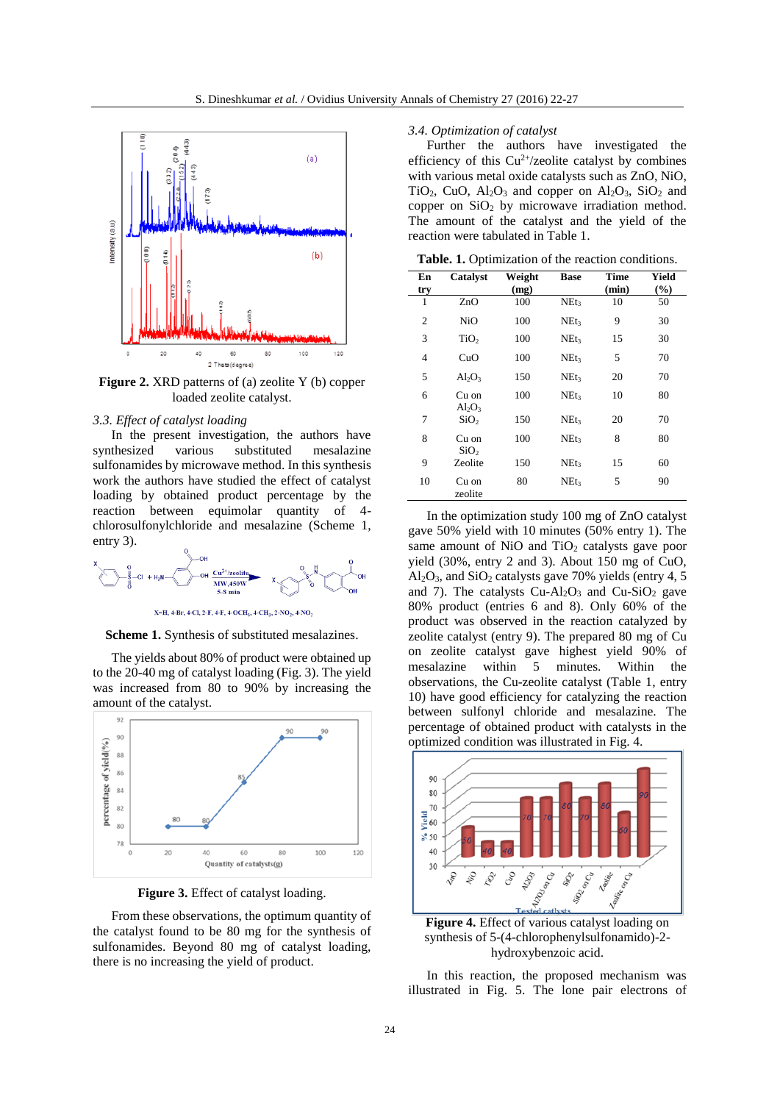

**Figure 2.** XRD patterns of (a) zeolite Y (b) copper loaded zeolite catalyst.

#### *3.3. Effect of catalyst loading*

In the present investigation, the authors have synthesized various substituted mesalazine sulfonamides by microwave method. In this synthesis work the authors have studied the effect of catalyst loading by obtained product percentage by the reaction between equimolar quantity of 4 chlorosulfonylchloride and mesalazine (Scheme 1, entry 3).



X=H, 4-Br, 4-Cl, 2-F, 4-F, 4-OCH<sub>3</sub>, 4-CH<sub>3</sub>, 2-NO<sub>2</sub>, 4-NO<sub>2</sub>

**Scheme 1.** Synthesis of substituted mesalazines.

The yields about 80% of product were obtained up to the 20-40 mg of catalyst loading (Fig. 3). The yield was increased from 80 to 90% by increasing the amount of the catalyst.



**Figure 3.** Effect of catalyst loading.

From these observations, the optimum quantity of the catalyst found to be 80 mg for the synthesis of sulfonamides. Beyond 80 mg of catalyst loading, there is no increasing the yield of product.

#### *3.4. Optimization of catalyst*

Further the authors have investigated the efficiency of this  $Cu^{2+}/$ zeolite catalyst by combines with various metal oxide catalysts such as ZnO, NiO, TiO<sub>2</sub>, CuO,  $Al_2O_3$  and copper on  $Al_2O_3$ , SiO<sub>2</sub> and copper on  $SiO<sub>2</sub>$  by microwave irradiation method. The amount of the catalyst and the yield of the reaction were tabulated in Table 1.

**Table. 1.** Optimization of the reaction conditions.

| En  | Catalyst                  | Weight | <b>Base</b>      | <b>Time</b> | Yield |
|-----|---------------------------|--------|------------------|-------------|-------|
| try |                           | (mg)   |                  | (min)       | (%)   |
| 1   | ZnO                       | 100    | NE <sub>t3</sub> | 10          | 50    |
| 2   | NiO                       | 100    | NEt <sub>3</sub> | 9           | 30    |
| 3   | TiO <sub>2</sub>          | 100    | NEt <sub>3</sub> | 15          | 30    |
| 4   | CuO                       | 100    | NE <sub>t3</sub> | 5           | 70    |
| 5   | $Al_2O_3$                 | 150    | NEt <sub>3</sub> | 20          | 70    |
| 6   | Cu on<br>$Al_2O_3$        | 100    | NEt <sub>3</sub> | 10          | 80    |
| 7   | SiO <sub>2</sub>          | 150    | NEt <sub>3</sub> | 20          | 70    |
| 8   | Cu on<br>SiO <sub>2</sub> | 100    | NEt <sub>3</sub> | 8           | 80    |
| 9   | Zeolite                   | 150    | NEt <sub>3</sub> | 15          | 60    |
| 10  | Cu on<br>zeolite          | 80     | NEt <sub>3</sub> | 5           | 90    |

In the optimization study 100 mg of ZnO catalyst gave 50% yield with 10 minutes (50% entry 1). The same amount of  $NiO$  and  $TiO<sub>2</sub>$  catalysts gave poor yield (30%, entry 2 and 3). About 150 mg of CuO,  $Al_2O_3$ , and  $SiO_2$  catalysts gave 70% yields (entry 4, 5) and 7). The catalysts  $Cu-Al<sub>2</sub>O<sub>3</sub>$  and  $Cu-SiO<sub>2</sub>$  gave 80% product (entries 6 and 8). Only 60% of the product was observed in the reaction catalyzed by zeolite catalyst (entry 9). The prepared 80 mg of Cu on zeolite catalyst gave highest yield 90% of mesalazine within 5 minutes. Within the observations, the Cu-zeolite catalyst (Table 1, entry 10) have good efficiency for catalyzing the reaction between sulfonyl chloride and mesalazine. The percentage of obtained product with catalysts in the optimized condition was illustrated in Fig. 4.



**Figure 4.** Effect of various catalyst loading on synthesis of 5-(4-chlorophenylsulfonamido)-2 hydroxybenzoic acid.

In this reaction, the proposed mechanism was illustrated in Fig. 5. The lone pair electrons of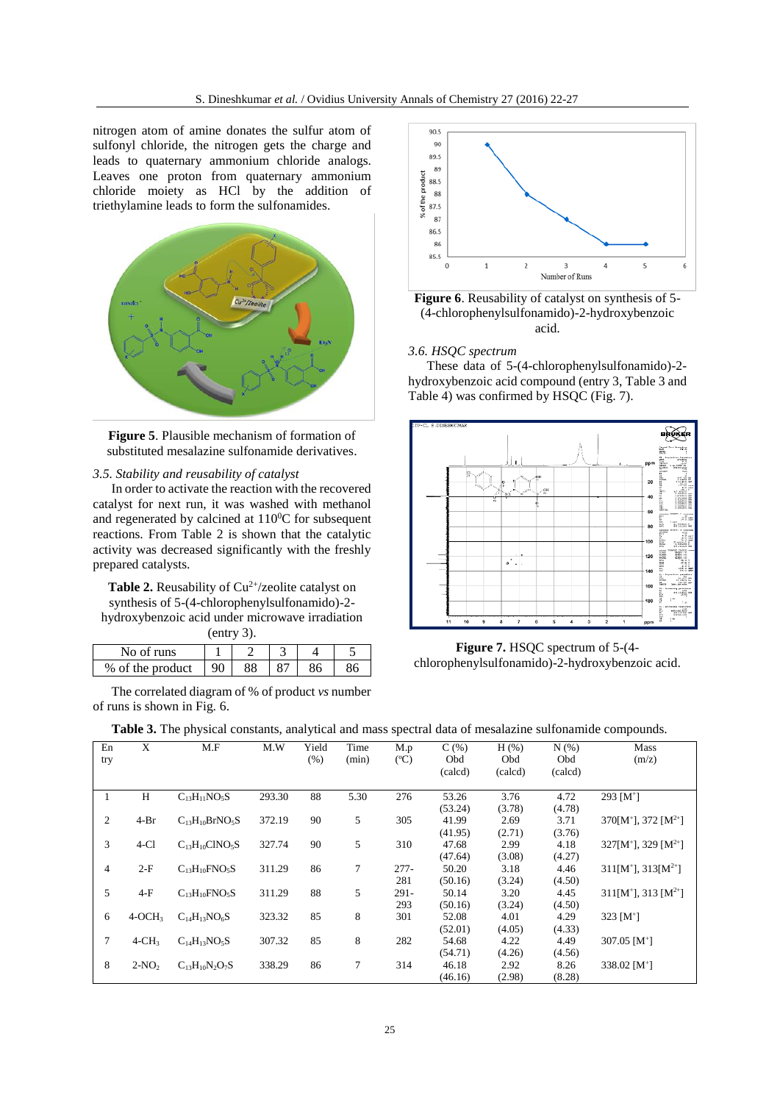nitrogen atom of amine donates the sulfur atom of sulfonyl chloride, the nitrogen gets the charge and leads to quaternary ammonium chloride analogs. Leaves one proton from quaternary ammonium chloride moiety as HCl by the addition of triethylamine leads to form the sulfonamides.



**Figure 5**. Plausible mechanism of formation of substituted mesalazine sulfonamide derivatives.

#### *3.5. Stability and reusability of catalyst*

In order to activate the reaction with the recovered catalyst for next run, it was washed with methanol and regenerated by calcined at  $110^{\circ}$ C for subsequent reactions. From Table 2 is shown that the catalytic activity was decreased significantly with the freshly prepared catalysts.

**Table 2.** Reusability of  $Cu^{2+}/$ zeolite catalyst on synthesis of 5-(4-chlorophenylsulfonamido)-2 hydroxybenzoic acid under microwave irradiation (entry 3).

| No of runs       |  |  |  |
|------------------|--|--|--|
| % of the product |  |  |  |

The correlated diagram of % of product *vs* number of runs is shown in Fig. 6.



**Figure 6**. Reusability of catalyst on synthesis of 5- (4-chlorophenylsulfonamido)-2-hydroxybenzoic acid.

#### *3.6. HSQC spectrum*

These data of 5-(4-chlorophenylsulfonamido)-2 hydroxybenzoic acid compound (entry 3, Table 3 and Table 4) was confirmed by HSQC (Fig. 7).



**Figure 7.** HSQC spectrum of 5-(4 chlorophenylsulfonamido)-2-hydroxybenzoic acid.

| <b>Table 3.</b> The physical constants, analytical and mass spectral data of mesalazine sulfonamide compounds. |  |  |  |
|----------------------------------------------------------------------------------------------------------------|--|--|--|
|----------------------------------------------------------------------------------------------------------------|--|--|--|

| En<br>try | X        | M.F                   | M.W    | Yield<br>(% ) | Time<br>(min) | M.p<br>$({}^{\circ}C)$ | C(% )<br>Obd | $H$ (%)<br>Obd | N(% )<br><b>Obd</b> | Mass<br>(m/z)                         |
|-----------|----------|-----------------------|--------|---------------|---------------|------------------------|--------------|----------------|---------------------|---------------------------------------|
|           |          |                       |        |               |               |                        | (calcd)      | (calcd)        | (calcd)             |                                       |
| 1         | H        | $C_{13}H_{11}NO_5S$   | 293.30 | 88            | 5.30          | 276                    | 53.26        | 3.76           | 4.72                | 293 $[M^+]$                           |
|           |          |                       |        |               |               |                        | (53.24)      | (3.78)         | (4.78)              |                                       |
| 2         | $4-Br$   | $C_{13}H_{10}BrNO_5S$ | 372.19 | 90            | 5             | 305                    | 41.99        | 2.69           | 3.71                | $370[M^+]$ , 372 $[M^{2+}]$           |
|           |          |                       |        |               |               |                        | (41.95)      | (2.71)         | (3.76)              |                                       |
| 3         | $4-C1$   | $C_{13}H_{10}CINO_5S$ | 327.74 | 90            | 5             | 310                    | 47.68        | 2.99           | 4.18                | $327[M^+]$ , 329 [M <sup>2+</sup> ]   |
|           |          |                       |        |               |               |                        | (47.64)      | (3.08)         | (4.27)              |                                       |
| 4         | $2-F$    | $C_{13}H_{10}FNO_5S$  | 311.29 | 86            | 7             | $277 -$                | 50.20        | 3.18           | 4.46                | $311[M^+]$ , $313[M^{2+}]$            |
|           |          |                       |        |               |               | 281                    | (50.16)      | (3.24)         | (4.50)              |                                       |
| 5         | $4-F$    | $C_{13}H_{10}FNO_5S$  | 311.29 | 88            | 5             | $291 -$                | 50.14        | 3.20           | 4.45                | $311[M^{\dagger}], 313[M^{2\dagger}]$ |
|           |          |                       |        |               |               | 293                    | (50.16)      | (3.24)         | (4.50)              |                                       |
| 6         | $4-OCH3$ | $C_{14}H_{13}NO_6S$   | 323.32 | 85            | 8             | 301                    | 52.08        | 4.01           | 4.29                | 323 $[M^+]$                           |
|           |          |                       |        |               |               |                        | (52.01)      | (4.05)         | (4.33)              |                                       |
| 7         | $4-CH3$  | $C_{14}H_{13}NO_5S$   | 307.32 | 85            | 8             | 282                    | 54.68        | 4.22           | 4.49                | 307.05 $[M^+]$                        |
|           |          |                       |        |               |               |                        | (54.71)      | (4.26)         | (4.56)              |                                       |
| 8         | $2-NO2$  | $C_{13}H_{10}N_2O_7S$ | 338.29 | 86            | $\tau$        | 314                    | 46.18        | 2.92           | 8.26                | 338.02 $[M^+]$                        |
|           |          |                       |        |               |               |                        | (46.16)      | (2.98)         | (8.28)              |                                       |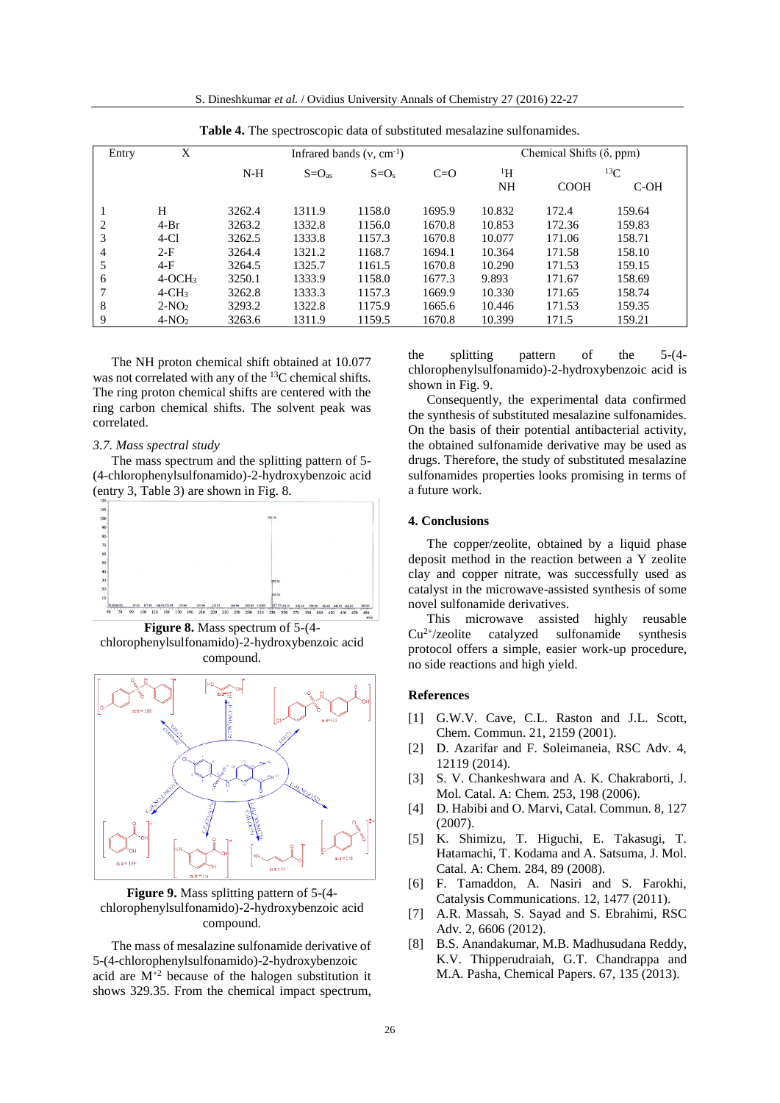S. Dineshkumar *et al.* / Ovidius University Annals of Chemistry 27 (2016) 22-27

| Twore it the speed ssessore and of succeivited measureme surromanities. |          |                               |                     |                  |        |                                 |             |            |
|-------------------------------------------------------------------------|----------|-------------------------------|---------------------|------------------|--------|---------------------------------|-------------|------------|
| Entry                                                                   | X        | Infrared bands $(v, cm^{-1})$ |                     |                  |        | Chemical Shifts $(\delta, ppm)$ |             |            |
|                                                                         |          | $N-H$                         | $S = O_{\text{as}}$ | $C=O$<br>$S=O_s$ |        | $\rm ^1H$                       |             | ${}^{13}C$ |
|                                                                         |          |                               |                     |                  |        | NH                              | <b>COOH</b> | $C-OH$     |
|                                                                         | H        | 3262.4                        | 1311.9              | 1158.0           | 1695.9 | 10.832                          | 172.4       | 159.64     |
| $\overline{c}$                                                          | $4-Br$   | 3263.2                        | 1332.8              | 1156.0           | 1670.8 | 10.853                          | 172.36      | 159.83     |
| 3                                                                       | $4-C1$   | 3262.5                        | 1333.8              | 1157.3           | 1670.8 | 10.077                          | 171.06      | 158.71     |
| 4                                                                       | $2-F$    | 3264.4                        | 1321.2              | 1168.7           | 1694.1 | 10.364                          | 171.58      | 158.10     |
| 5                                                                       | $4-F$    | 3264.5                        | 1325.7              | 1161.5           | 1670.8 | 10.290                          | 171.53      | 159.15     |
| 6                                                                       | $4-OCH3$ | 3250.1                        | 1333.9              | 1158.0           | 1677.3 | 9.893                           | 171.67      | 158.69     |
|                                                                         | $4-CH3$  | 3262.8                        | 1333.3              | 1157.3           | 1669.9 | 10.330                          | 171.65      | 158.74     |
| 8                                                                       | $2-NO2$  | 3293.2                        | 1322.8              | 1175.9           | 1665.6 | 10.446                          | 171.53      | 159.35     |
| 9                                                                       | $4-NO2$  | 3263.6                        | 1311.9              | 1159.5           | 1670.8 | 10.399                          | 171.5       | 159.21     |

**Table 4.** The spectroscopic data of substituted mesalazine sulfonamides.

The NH proton chemical shift obtained at 10.077 was not correlated with any of the <sup>13</sup>C chemical shifts. The ring proton chemical shifts are centered with the ring carbon chemical shifts. The solvent peak was correlated.

# *3.7. Mass spectral study*

The mass spectrum and the splitting pattern of 5- (4-chlorophenylsulfonamido)-2-hydroxybenzoic acid (entry 3, Table 3) are shown in Fig. 8.



**Figure 8.** Mass spectrum of 5-(4 chlorophenylsulfonamido)-2-hydroxybenzoic acid compound.



**Figure 9.** Mass splitting pattern of 5-(4 chlorophenylsulfonamido)-2-hydroxybenzoic acid compound.

The mass of mesalazine sulfonamide derivative of 5-(4-chlorophenylsulfonamido)-2-hydroxybenzoic acid are  $M^{+2}$  because of the halogen substitution it shows 329.35. From the chemical impact spectrum,

the splitting pattern of the 5-(4 chlorophenylsulfonamido)-2-hydroxybenzoic acid is shown in Fig. 9.

Consequently, the experimental data confirmed the synthesis of substituted mesalazine sulfonamides. On the basis of their potential antibacterial activity, the obtained sulfonamide derivative may be used as drugs. Therefore, the study of substituted mesalazine sulfonamides properties looks promising in terms of a future work.

#### **4. Conclusions**

The copper/zeolite, obtained by a liquid phase deposit method in the reaction between a Y zeolite clay and copper nitrate, was successfully used as catalyst in the microwave-assisted synthesis of some novel sulfonamide derivatives.

This microwave assisted highly reusable  $Cu<sup>2+/</sup>zedite cataloged sulfonamide synthesis$ protocol offers a simple, easier work-up procedure, no side reactions and high yield.

# **References**

- [1] G.W.V. Cave, C.L. Raston and J.L. Scott, Chem. Commun. 21, 2159 (2001).
- [2] D. Azarifar and F. Soleimaneia, RSC Adv. 4, 12119 (2014).
- [3] S. V. Chankeshwara and A. K. Chakraborti, J. Mol. Catal. A: Chem. 253, 198 (2006).
- [4] D. Habibi and O. Marvi, Catal. Commun. 8, 127 (2007).
- [5] K. Shimizu, T. Higuchi, E. Takasugi, T. Hatamachi, T. Kodama and A. Satsuma, J. Mol. Catal. A: Chem. 284, 89 (2008).
- [6] F. Tamaddon, A. Nasiri and S. Farokhi, Catalysis Communications. 12, 1477 (2011).
- [7] A.R. Massah, S. Sayad and S. Ebrahimi, RSC Adv. 2, 6606 (2012).
- [8] B.S. Anandakumar, M.B. Madhusudana Reddy, K.V. Thipperudraiah, G.T. Chandrappa and M.A. Pasha, Chemical Papers. 67, 135 (2013).